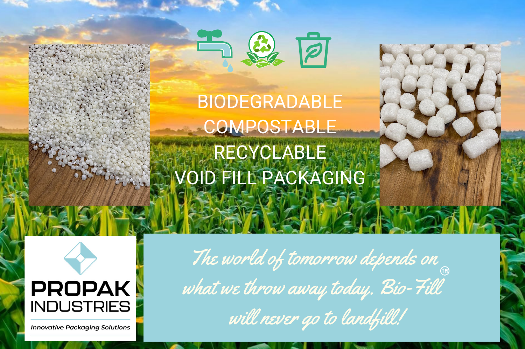

## BIODEGRADABLE **COMPOSTABLE** RECYCLABLE VOID FILL PACKAGING



**Innovative Packaging Solutions** 

The world of tomorrow depends on what we throw away today. Bio-Fill will never go to landfill!